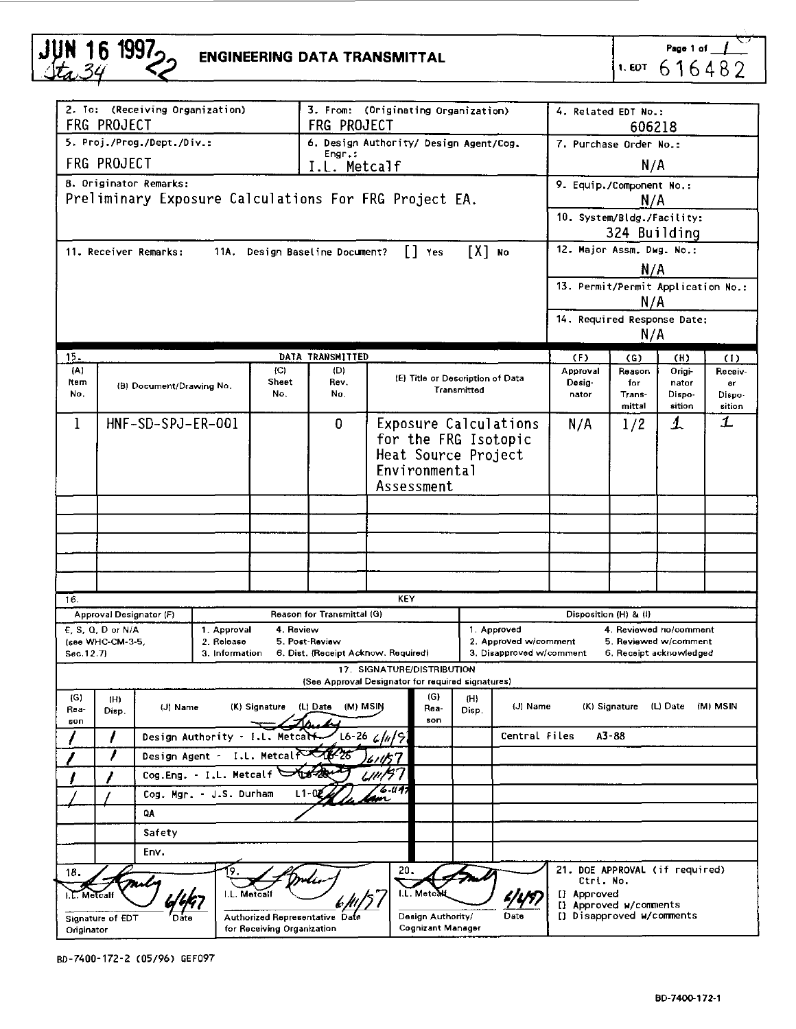| JUN 16 1997 <sub>2</sub> | <b>ENGINEERING DATA TRANSMITTAL</b> |
|--------------------------|-------------------------------------|
|                          |                                     |

Page 1 of  $\_\_\_\$ 616482

|                                                                                                          | 2. To: (Receiving Organization)<br>FRG PROJECT                                                    |                                                                        | 3. From: (Originating Organization)<br><b>FRG PROJECT</b> |         |                                                   |                      |                                        | 4. Related EDT No.:<br>606218                                 |                                                     |                                    |                                 |        |         |  |
|----------------------------------------------------------------------------------------------------------|---------------------------------------------------------------------------------------------------|------------------------------------------------------------------------|-----------------------------------------------------------|---------|---------------------------------------------------|----------------------|----------------------------------------|---------------------------------------------------------------|-----------------------------------------------------|------------------------------------|---------------------------------|--------|---------|--|
|                                                                                                          | 5. Proj./Prog./Dept./Div.:                                                                        |                                                                        |                                                           |         |                                                   |                      | 6. Design Authority/ Design Agent/Cog. |                                                               |                                                     |                                    | 7. Purchase Order No.:          |        |         |  |
|                                                                                                          | Engr.:<br><b>FRG PROJECT</b>                                                                      |                                                                        |                                                           |         |                                                   |                      |                                        |                                                               |                                                     | N/A                                |                                 |        |         |  |
| I.L. Metcalf<br>8. Originator Remarks:                                                                   |                                                                                                   |                                                                        |                                                           |         |                                                   |                      |                                        |                                                               |                                                     |                                    |                                 |        |         |  |
| Preliminary Exposure Calculations For FRG Project EA.                                                    |                                                                                                   |                                                                        |                                                           |         |                                                   |                      |                                        |                                                               | 9. Equip./Component No.:<br>N/A                     |                                    |                                 |        |         |  |
|                                                                                                          |                                                                                                   |                                                                        |                                                           |         |                                                   |                      |                                        |                                                               |                                                     | 10. System/Bldg./Facility:         |                                 |        |         |  |
|                                                                                                          |                                                                                                   |                                                                        |                                                           |         |                                                   |                      |                                        |                                                               |                                                     | 324 Building                       |                                 |        |         |  |
| [X] No<br>$\begin{bmatrix} \end{bmatrix}$ Yes<br>11. Receiver Remarks:<br>11A. Design Baseline Document? |                                                                                                   |                                                                        |                                                           |         |                                                   |                      |                                        |                                                               | 12. Major Assm. Dwg. No.:                           |                                    |                                 |        |         |  |
|                                                                                                          |                                                                                                   |                                                                        |                                                           |         |                                                   |                      |                                        |                                                               |                                                     | N/A                                |                                 |        |         |  |
|                                                                                                          |                                                                                                   |                                                                        |                                                           |         |                                                   |                      |                                        |                                                               |                                                     | 13. Permit/Permit Application No.: |                                 |        |         |  |
|                                                                                                          |                                                                                                   |                                                                        |                                                           |         |                                                   |                      |                                        |                                                               |                                                     | N/A                                |                                 |        |         |  |
|                                                                                                          |                                                                                                   |                                                                        |                                                           |         |                                                   |                      |                                        |                                                               |                                                     | 14. Required Response Date:        |                                 |        |         |  |
|                                                                                                          |                                                                                                   |                                                                        |                                                           |         |                                                   |                      |                                        |                                                               |                                                     | N/A                                |                                 |        |         |  |
| 15.                                                                                                      |                                                                                                   |                                                                        |                                                           |         | DATA TRANSMITTED                                  |                      |                                        |                                                               |                                                     | (F)                                | (G)                             | (H)    | (1)     |  |
| (A)                                                                                                      |                                                                                                   |                                                                        |                                                           | (C)     | (D)                                               |                      | (E) Title or Description of Data       |                                                               |                                                     | Approval                           | Reason                          | Origi- | Receiv- |  |
| Item<br>No.                                                                                              |                                                                                                   | Sheet<br>Rev.<br>(B) Document/Drawing No.<br>Transmitted<br>No.<br>No. |                                                           |         |                                                   |                      |                                        | Desig-<br>nator                                               | for<br>Trans-                                       | nator<br>Dispo-                    | er<br>Dispo-                    |        |         |  |
|                                                                                                          |                                                                                                   |                                                                        |                                                           |         |                                                   |                      |                                        |                                                               |                                                     |                                    | mittal                          | sition | sition  |  |
| 1                                                                                                        |                                                                                                   | HNF-SD-SPJ-ER-001                                                      |                                                           |         | $\Omega$                                          |                      | Exposure Calculations                  |                                                               |                                                     | N/A                                | 1/2                             | 1      | 1       |  |
|                                                                                                          |                                                                                                   |                                                                        |                                                           |         |                                                   | for the FRG Isotopic |                                        |                                                               |                                                     |                                    |                                 |        |         |  |
|                                                                                                          |                                                                                                   |                                                                        |                                                           |         |                                                   |                      | Heat Source Project                    |                                                               |                                                     |                                    |                                 |        |         |  |
|                                                                                                          |                                                                                                   |                                                                        |                                                           |         |                                                   |                      | Environmental                          |                                                               |                                                     |                                    |                                 |        |         |  |
|                                                                                                          |                                                                                                   | Assessment                                                             |                                                           |         |                                                   |                      |                                        |                                                               |                                                     |                                    |                                 |        |         |  |
|                                                                                                          |                                                                                                   |                                                                        |                                                           |         |                                                   |                      |                                        |                                                               |                                                     |                                    |                                 |        |         |  |
|                                                                                                          |                                                                                                   |                                                                        |                                                           |         |                                                   |                      |                                        |                                                               |                                                     |                                    |                                 |        |         |  |
|                                                                                                          |                                                                                                   |                                                                        |                                                           |         |                                                   |                      |                                        |                                                               |                                                     |                                    |                                 |        |         |  |
|                                                                                                          |                                                                                                   |                                                                        |                                                           |         |                                                   |                      |                                        |                                                               |                                                     |                                    |                                 |        |         |  |
|                                                                                                          |                                                                                                   |                                                                        |                                                           |         |                                                   |                      |                                        |                                                               |                                                     |                                    |                                 |        |         |  |
| 16.                                                                                                      |                                                                                                   |                                                                        |                                                           |         |                                                   |                      | KEY                                    |                                                               |                                                     |                                    |                                 |        |         |  |
|                                                                                                          | Approval Designator (F)                                                                           |                                                                        |                                                           |         | Reason for Transmittal (G)                        |                      |                                        |                                                               | Disposition (H) & (I)<br>4. Reviewed no/comment     |                                    |                                 |        |         |  |
|                                                                                                          | E. S. Q. D or N/A<br>4. Review<br>1. Approval<br>(see WHC-CM-3-5,<br>2. Release<br>5. Post-Review |                                                                        |                                                           |         |                                                   |                      |                                        | 1. Approved<br>2. Approved w/comment<br>5. Reviewed w/comment |                                                     |                                    |                                 |        |         |  |
| Sec. 12.7)                                                                                               |                                                                                                   |                                                                        | 3. Information                                            |         | 6. Dist. (Receipt Acknow. Required)               |                      |                                        |                                                               | 3. Disapproved w/comment                            |                                    | 6. Receipt acknowledged         |        |         |  |
|                                                                                                          |                                                                                                   |                                                                        |                                                           |         | (See Approval Designator for required signatures) |                      | 17. SIGNATURE/DISTRIBUTION             |                                                               |                                                     |                                    |                                 |        |         |  |
| (G)                                                                                                      | (H)                                                                                               |                                                                        |                                                           |         |                                                   |                      | (G)                                    | (H)                                                           |                                                     |                                    |                                 |        |         |  |
| Rea-                                                                                                     | Disp.                                                                                             | (J) Name<br>(K) Signature (L) Date<br>(M) MSIN<br>Rea-                 |                                                           |         |                                                   |                      |                                        |                                                               | (J) Name                                            |                                    | (K) Signature (L) Date (M) MSIN |        |         |  |
| son                                                                                                      | ,                                                                                                 | son<br>Design Authority - I.L. Metcalf<br>L6-26 G/n/9                  |                                                           |         |                                                   |                      |                                        |                                                               | Central Files                                       | A3-88                              |                                 |        |         |  |
|                                                                                                          | ,                                                                                                 | I.L. Metcal 2016-26<br>Design Agent -                                  |                                                           |         |                                                   |                      |                                        |                                                               |                                                     |                                    |                                 |        |         |  |
|                                                                                                          |                                                                                                   | 61 IS T<br>Cog.Eng. - I.L. Metcalf<br>Lint F                           |                                                           |         |                                                   |                      |                                        |                                                               |                                                     |                                    |                                 |        |         |  |
|                                                                                                          |                                                                                                   | L. 11 A<br>$L1 - 0$<br>Cog. Mgr. - J.S. Durham                         |                                                           |         |                                                   |                      |                                        |                                                               |                                                     |                                    |                                 |        |         |  |
|                                                                                                          |                                                                                                   | <b>DA</b>                                                              |                                                           |         |                                                   |                      |                                        |                                                               |                                                     |                                    |                                 |        |         |  |
|                                                                                                          |                                                                                                   | Safety                                                                 |                                                           |         |                                                   |                      |                                        |                                                               |                                                     |                                    |                                 |        |         |  |
|                                                                                                          |                                                                                                   | Env.                                                                   |                                                           |         |                                                   |                      |                                        |                                                               |                                                     |                                    |                                 |        |         |  |
|                                                                                                          |                                                                                                   |                                                                        |                                                           |         |                                                   |                      |                                        |                                                               |                                                     |                                    |                                 |        |         |  |
| 21. DOE APPROVAL (if required)<br>20.<br>18.<br>Ctri, No.                                                |                                                                                                   |                                                                        |                                                           |         |                                                   |                      |                                        |                                                               |                                                     |                                    |                                 |        |         |  |
|                                                                                                          |                                                                                                   |                                                                        |                                                           | Metcall |                                                   |                      | I.L. Metca                             |                                                               |                                                     | [] Approved                        |                                 |        |         |  |
|                                                                                                          | Authorized Representative Date<br>Signature of EDT                                                |                                                                        |                                                           |         |                                                   | Design Authority/    |                                        | Date                                                          | [] Approved w/comments<br>[] Disapproved w/comments |                                    |                                 |        |         |  |
| for Receiving Organization<br>Originator                                                                 |                                                                                                   |                                                                        |                                                           |         |                                                   | Cognizant Manager    |                                        |                                                               |                                                     |                                    |                                 |        |         |  |

BD-7400-172-2 (05/96) GEF097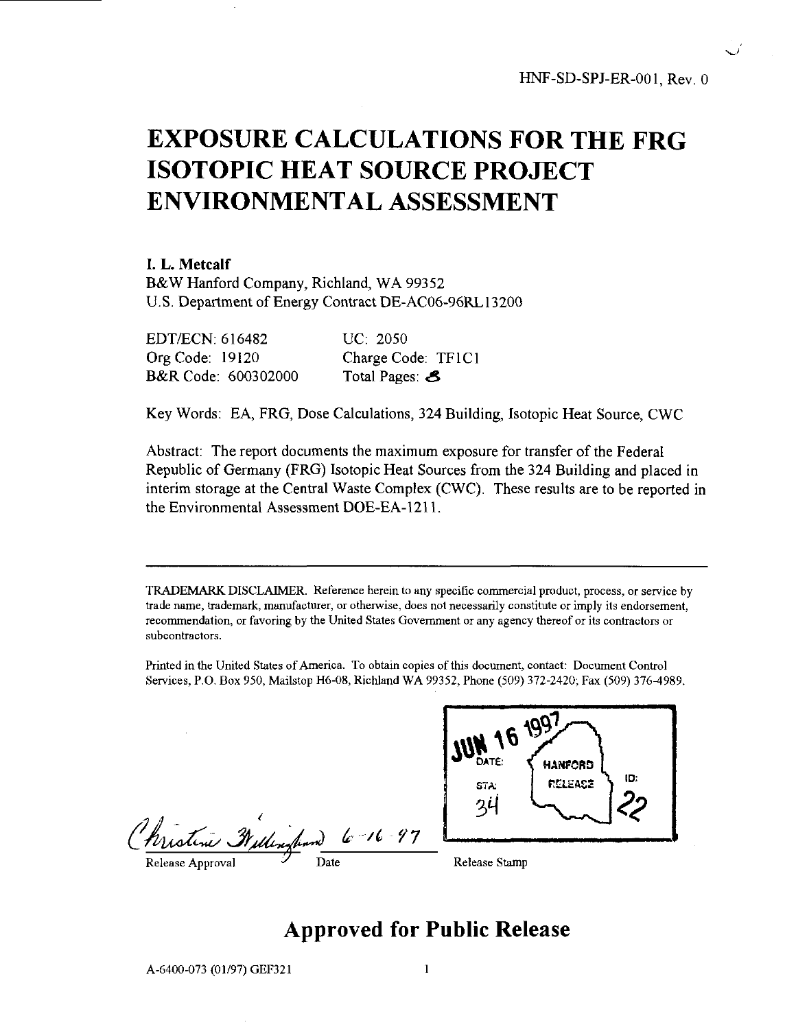# EXPOSURE CALCULATIONS FOR THE FRG ISOTOPIC HEAT SOURCE PROJECT ENVIRONMENTAL ASSESSMENT

#### **I. L. Metcalf**

B&W Hanford Company, Richland, WA 99352 U.S. Department of Energy Contract DE-AC06-96RL13200

| EDT/ECN: 616482        | UC: 2050           |
|------------------------|--------------------|
| <b>Org Code: 19120</b> | Charge Code: TF1C1 |
| B&R Code: 600302000    | Total Pages: 8     |

Key Words: EA, FRG, Dose Calculations, 324 Building, Isotopic Heat Source, CWC

Abstract: The report documents the maximum exposure for transfer of the Federal Republic of Germany (FRG) Isotopic Heat Sources from the 324 Building and placed in interim storage at the Central Waste Complex (CWC). These results are to be reported in the Environmental Assessment DOE-EA-1211.

TRADEMARK DISCLAIMER. Reference herein to any specific commercial product, process, or service by trade name, trademark, manufacturer, or otherwise, does not necessarily constitute or imply its endorsement, recommendation, or favoring by the United States Government or any agency thereof or its contractors or subcontractors.

Printed in the United States of America. To obtain copies of this document, contact: Document Control Services, P.O. Box 950, Mailstop H6-08, Richland WA 99352, Phone (509) 372-2420; Fax (509) 376-4989.

Pristine Millingh



# Approved for Public Release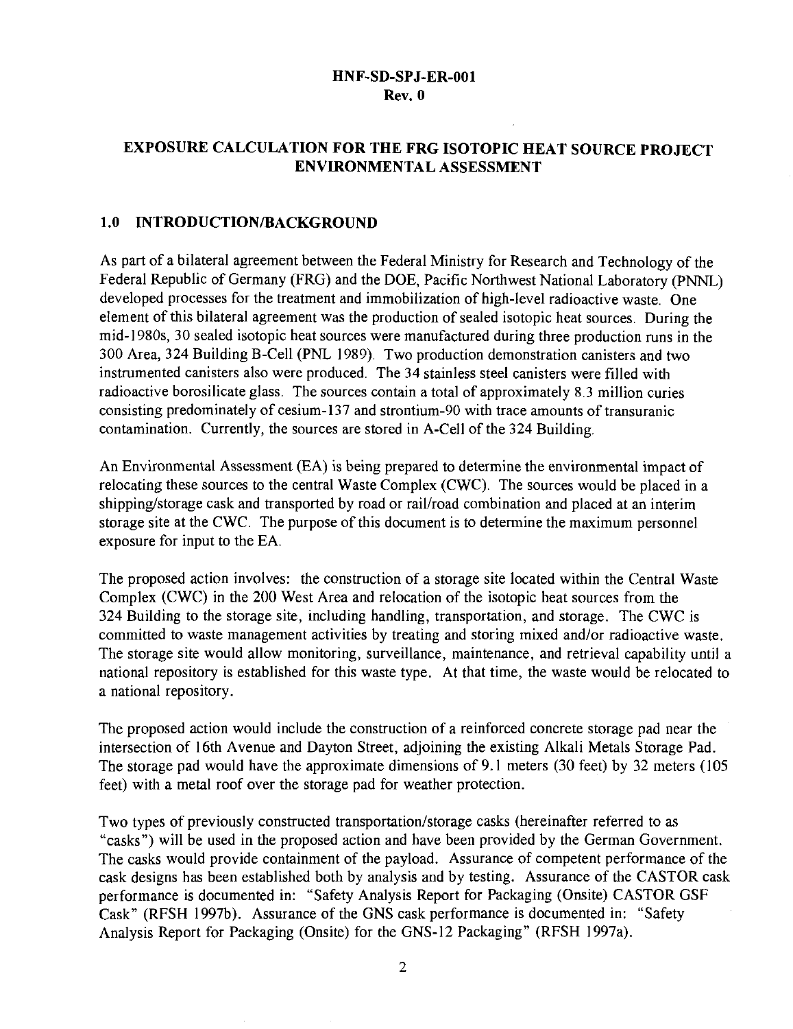## **EXPOSURE CALCULATION FOR THE FRG ISOTOPIC HEAT SOURCE PROJECT ENVIRONMENTAL ASSESSMENT**

#### **1.0 INTRODUCTION/BACKGROUND**

As part of a bilateral agreement between the Federal Ministry for Research and Technology of the Federal Republic of Germany (FRG) and the DOE, Pacific Northwest National Laboratory (PNNL) developed processes for the treatment and immobilization of high-level radioactive waste. One element of this bilateral agreement was the production of sealed isotopic heat sources. During the mid-1980s, 30 sealed isotopic heat sources were manufactured during three production runs in the 300 Area, 324 Building B-Cell (PNL 1989). Two production demonstration canisters and two instrumented canisters also were produced. The 34 stainless steel canisters were filled with radioactive borosilicate glass. The sources contain a total of approximately 8.3 million curies consisting predominately of cesium-137 and strontium-90 with trace amounts of transuranic contamination. Currently, the sources are stored in A-Cell of the 324 Building.

An Environmental Assessment (EA) is being prepared to determine the environmental impact of relocating these sources to the central Waste Complex (CWC). The sources would be placed in a shipping/storage cask and transported by road or rail/road combination and placed at an interim storage site at the CWC. The purpose of this document is to determine the maximum personnel exposure for input to the EA.

The proposed action involves: the construction of a storage site located within the Central Waste Complex (CWC) in the 200 West Area and relocation of the isotopic heat sources from the 324 Building to the storage site, including handling, transportation, and storage. The CWC is committed to waste management activities by treating and storing mixed and/or radioactive waste. The storage site would allow monitoring, surveillance, maintenance, and retrieval capability until a national repository is established for this waste type. At that time, the waste would be relocated to a national repository.

The proposed action would include the construction of a reinforced concrete storage pad near the intersection of 16th Avenue and Dayton Street, adjoining the existing Alkali Metals Storage Pad. The storage pad would have the approximate dimensions of 9.1 meters (30 feet) by 32 meters (105 feet) with a metal roof over the storage pad for weather protection.

Two types of previously constructed transportation/storage casks (hereinafter referred to as "casks") will be used in the proposed action and have been provided by the German Government. The casks would provide containment of the payload. Assurance of competent performance of the cask designs has been established both by analysis and by testing. Assurance of the CASTOR cask performance is documented in: "Safety Analysis Report for Packaging (Onsite) CASTOR GSF Cask" (RFSH 1997b). Assurance of the GNS cask performance is documented in: "Safety Analysis Report for Packaging (Onsite) for the GNS-12 Packaging" (RFSH 1997a).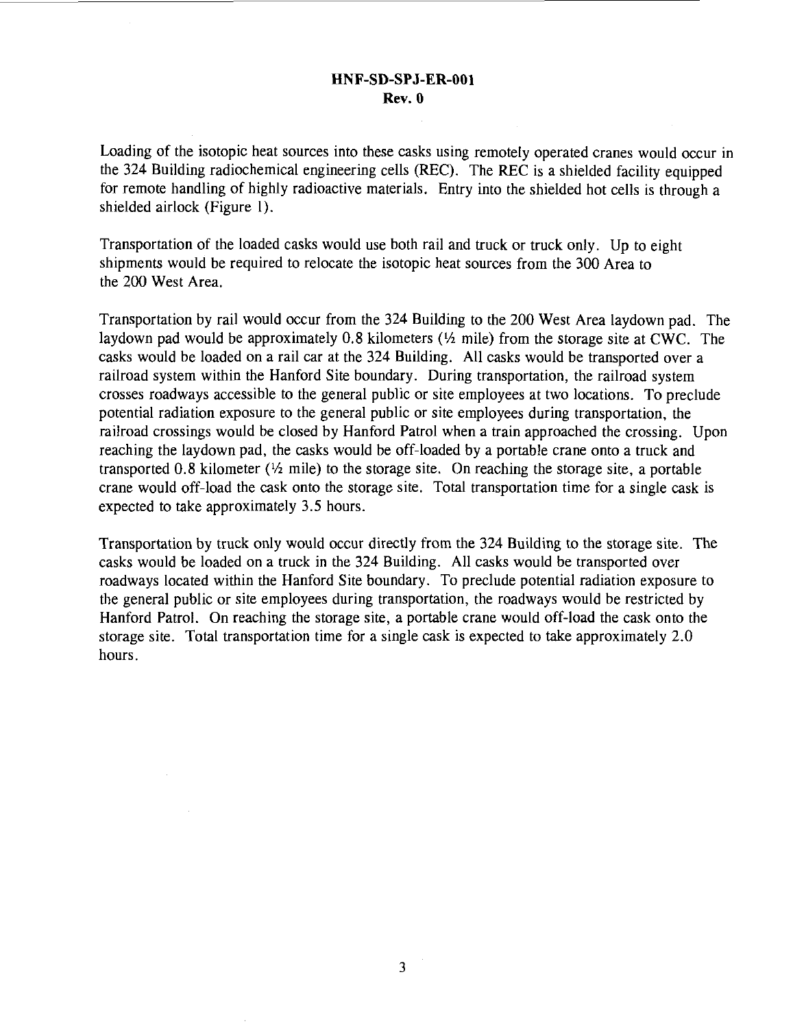Loading of the isotopic heat sources into these casks using remotely operated cranes would occur in the 324 Building radiochemical engineering cells (REC). The REC is a shielded facility equipped for remote handling of highly radioactive materials. Entry into the shielded hot cells is through a shielded airlock (Figure 1).

Transportation of the loaded casks would use both rail and truck or truck only. Up to eight shipments would be required to relocate the isotopic heat sources from the 300 Area to the 200 West Area.

Transportation by rail would occur from the 324 Building to the 200 West Area laydown pad. The laydown pad would be approximately 0.8 kilometers  $(\frac{1}{2})$  mile) from the storage site at CWC. The casks would be loaded on a rail car at the 324 Building. All casks would be transported over a railroad system within the Hanford Site boundary. During transportation, the railroad system crosses roadways accessible to the general public or site employees at two locations. To preclude potential radiation exposure to the general public or site employees during transportation, the railroad crossings would be closed by Hanford Patrol when a train approached the crossing. Upon reaching the laydown pad, the casks would be off-loaded by a portable crane onto a truck and transported 0.8 kilometer  $(\frac{1}{2}$  mile) to the storage site. On reaching the storage site, a portable crane would off-load the cask onto the storage site. Total transportation time for a single cask is expected to take approximately 3.5 hours.

Transportation by truck only would occur directly from the 324 Building to the storage site. The casks would be loaded on a truck in the 324 Building. All casks would be transported over roadways located within the Hanford Site boundary. To preclude potential radiation exposure to the general public or site employees during transportation, the roadways would be restricted by Hanford Patrol. On reaching the storage site, a portable crane would off-load the cask onto the storage site. Total transportation time for a single cask is expected to take approximately 2.0 hours.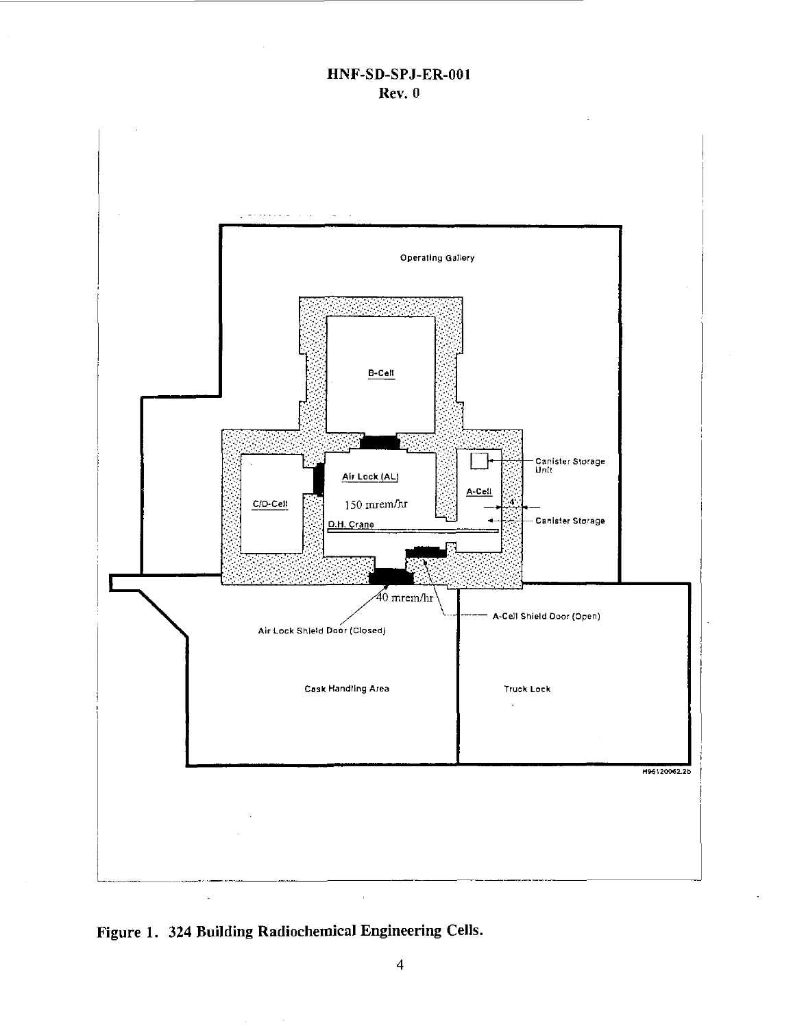

Figure 1. 324 Building Radiochemical Engineering Cells.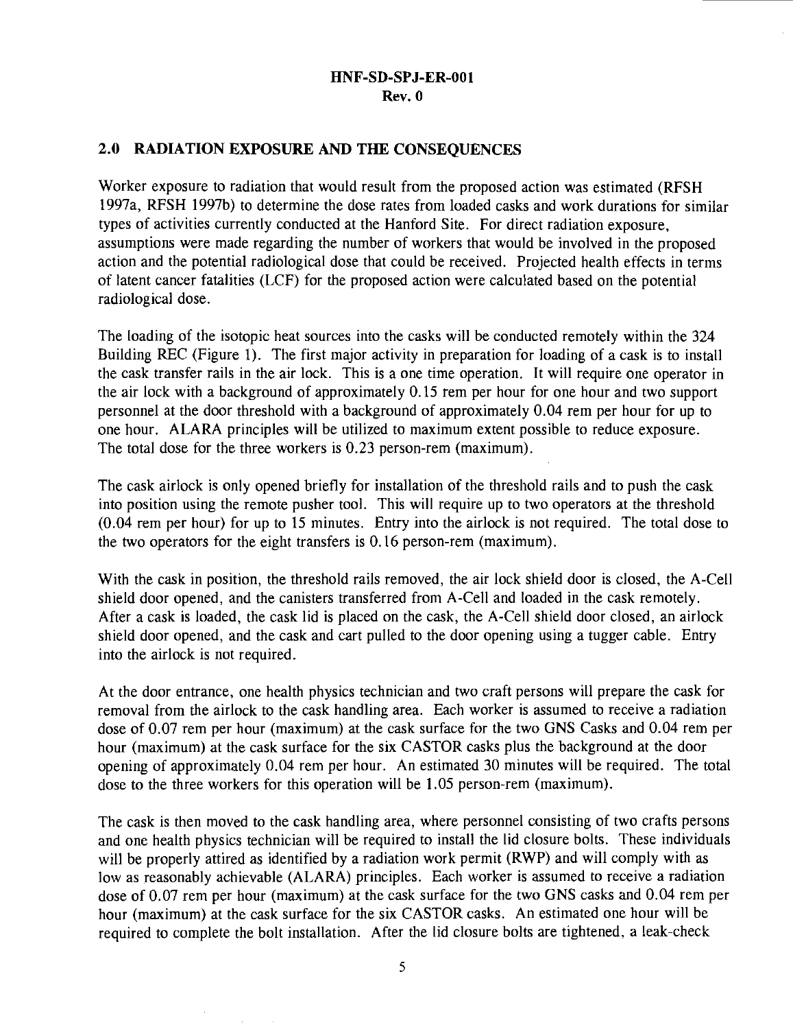#### **2.0 RADIATION EXPOSURE AND THE CONSEQUENCES**

Worker exposure to radiation that would result from the proposed action was estimated (RFSH 1997a, RFSH 1997b) to determine the dose rates from loaded casks and work durations for similar types of activities currently conducted at the Hanford Site. For direct radiation exposure, assumptions were made regarding the number of workers that would be involved in the proposed action and the potential radiological dose that could be received. Projected health effects in terms of latent cancer fatalities (LCF) for the proposed action were calculated based on the potential radiological dose.

The loading of the isotopic heat sources into the casks will be conducted remotely within the 324 Building REC (Figure 1). The first major activity in preparation for loading of a cask is to install the cask transfer rails in the air lock. This is a one time operation. It will require one operator in the air lock with a background of approximately 0.15 rem per hour for one hour and two support personnel at the door threshold with a background of approximately 0.04 rem per hour for up to one hour. ALARA principles will be utilized to maximum extent possible to reduce exposure. The total dose for the three workers is 0.23 person-rem (maximum).

The cask airlock is only opened briefly for installation of the threshold rails and to push the cask into position using the remote pusher tool. This will require up to two operators at the threshold (0.04 rem per hour) for up to 15 minutes. Entry into the airlock is not required. The total dose to the two operators for the eight transfers is 0.16 person-rem (maximum).

With the cask in position, the threshold rails removed, the air lock shield door is closed, the A-Cell shield door opened, and the canisters transferred from A-Cell and loaded in the cask remotely. After a cask is loaded, the cask lid is placed on the cask, the A-Cell shield door closed, an airlock shield door opened, and the cask and cart pulled to the door opening using a tugger cable. Entry into the airlock is not required.

At the door entrance, one health physics technician and two craft persons will prepare the cask for removal from the airlock to the cask handling area. Each worker is assumed to receive a radiation dose of 0.07 rem per hour (maximum) at the cask surface for the two GNS Casks and 0.04 rem per hour (maximum) at the cask surface for the six CASTOR casks plus the background at the door opening of approximately 0.04 rem per hour. An estimated 30 minutes will be required. The total dose to the three workers for this operation will be 1.05 person-rem (maximum).

The cask is then moved to the cask handling area, where personnel consisting of two crafts persons and one health physics technician will be required to install the lid closure bolts. These individuals will be properly attired as identified by a radiation work permit (RWP) and will comply with as low as reasonably achievable (ALARA) principles. Each worker is assumed to receive a radiation dose of 0.07 rem per hour (maximum) at the cask surface for the two GNS casks and 0.04 rem per hour (maximum) at the cask surface for the six CASTOR casks. An estimated one hour will be required to complete the bolt installation. After the lid closure bolts are tightened, a leak-check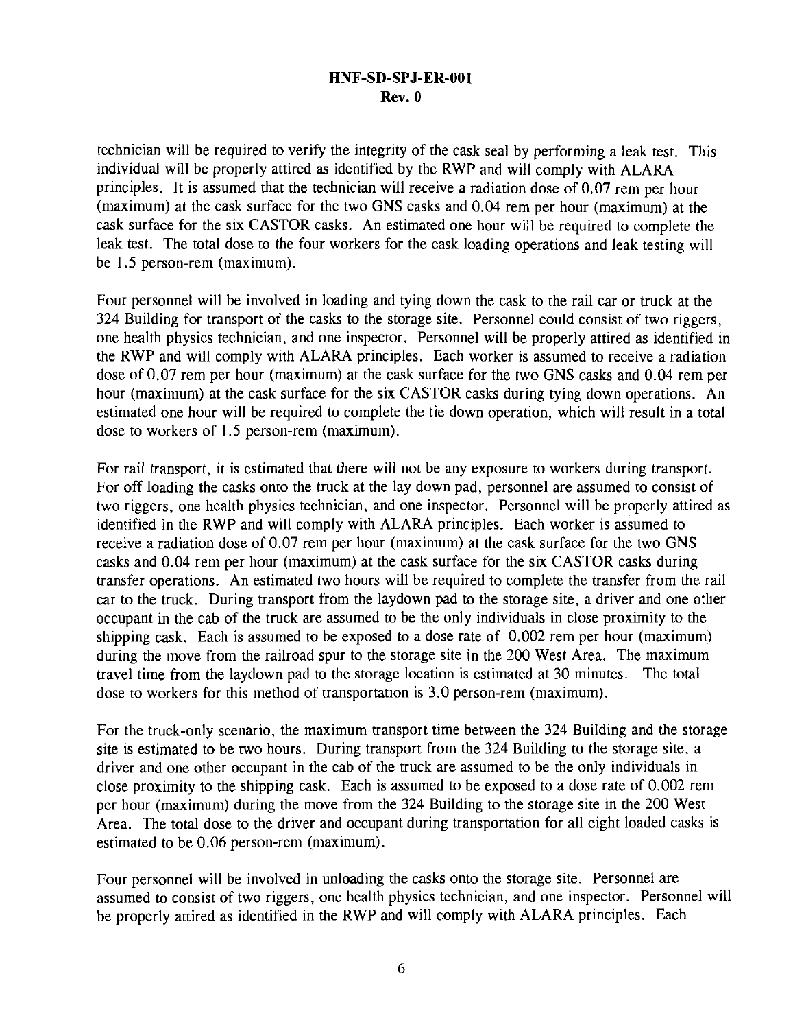technician will be required to verify the integrity of the cask seal by performing a leak test. This individual will be properly attired as identified by the RWP and will comply with ALARA principles. It is assumed that the technician will receive a radiation dose of 0.07 rem per hour (maximum) at the cask surface for the two GNS casks and 0.04 rem per hour (maximum) at the cask surface for the six CASTOR casks. An estimated one hour will be required to complete the leak test. The total dose to the four workers for the cask loading operations and leak testing will be 1.5 person-rem (maximum).

Four personnel will be involved in loading and tying down the cask to the rail car or truck at the 324 Building for transport of the casks to the storage site. Personnel could consist of two riggers, one health physics technician, and one inspector. Personnel will be properly attired as identified in the RWP and will comply with ALARA principles. Each worker is assumed to receive a radiation dose of 0.07 rem per hour (maximum) at the cask surface for the two GNS casks and 0.04 rem per hour (maximum) at the cask surface for the six CASTOR casks during tying down operations. An estimated one hour will be required to complete the tie down operation, which will result in a total dose to workers of 1.5 person-rem (maximum).

For rail transport, it is estimated that there will not be any exposure to workers during transport. For off loading the casks onto the truck at the lay down pad, personnel are assumed to consist of two riggers, one health physics technician, and one inspector. Personnel will be properly attired as identified in the RWP and will comply with ALARA principles. Each worker is assumed to receive a radiation dose of 0.07 rem per hour (maximum) at the cask surface for the two GNS casks and 0.04 rem per hour (maximum) at the cask surface for the six CASTOR casks during transfer operations. An estimated two hours will be required to complete the transfer from the rail car to the truck. During transport from the laydown pad to the storage site, a driver and one other occupant in the cab of the truck are assumed to be the only individuals in close proximity to the shipping cask. Each is assumed to be exposed to a dose rate of 0.002 rem per hour (maximum) during the move from the railroad spur to the storage site in the 200 West Area. The maximum travel time from the laydown pad to the storage location is estimated at 30 minutes. The total dose to workers for this method of transportation is 3.0 person-rem (maximum).

For the truck-only scenario, the maximum transport time between the 324 Building and the storage site is estimated to be two hours. During transport from the 324 Building to the storage site, a driver and one other occupant in the cab of the truck are assumed to be the only individuals in close proximity to the shipping cask. Each is assumed to be exposed to a dose rate of 0.002 rem per hour (maximum) during the move from the 324 Building to the storage site in the 200 West Area. The total dose to the driver and occupant during transportation for all eight loaded casks is estimated to be 0.06 person-rem (maximum).

Four personnel will be involved in unloading the casks onto the storage site. Personnel are assumed to consist of two riggers, one health physics technician, and one inspector. Personnel will be properly attired as identified in the RWP and will comply with ALARA principles. Each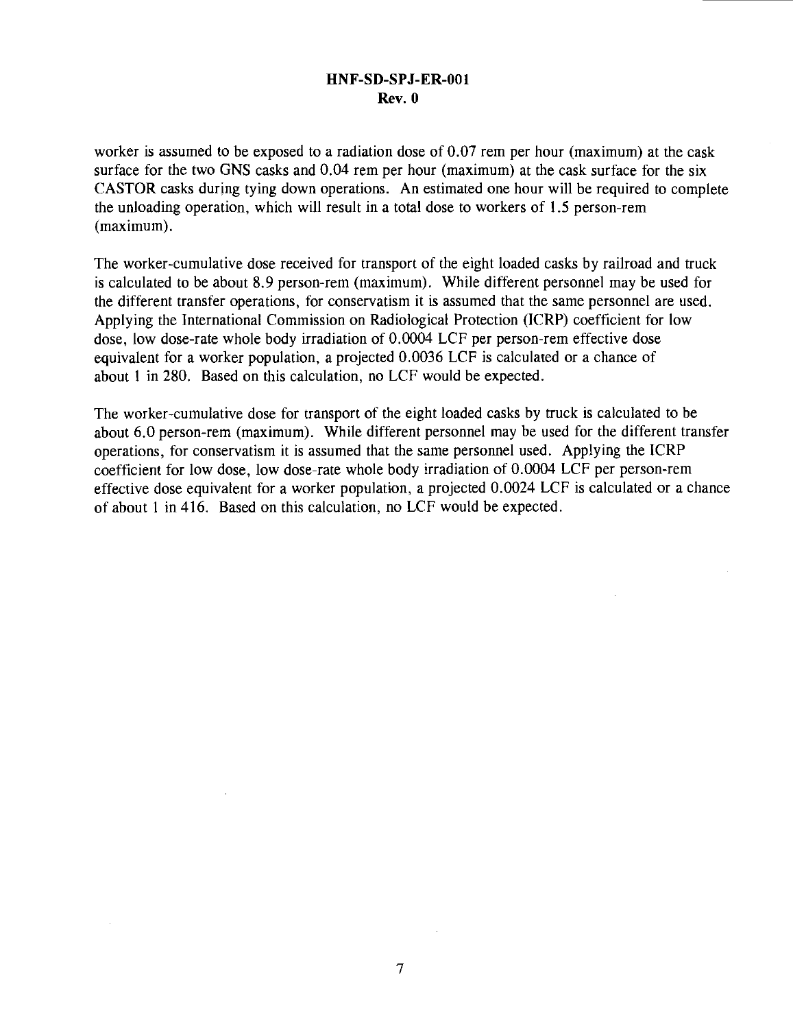worker is assumed to be exposed to a radiation dose of 0.07 rem per hour (maximum) at the cask surface for the two GNS casks and 0.04 rem per hour (maximum) at the cask surface for the six CASTOR casks during tying down operations. An estimated one hour will be required to complete the unloading operation, which will result in a total dose to workers of 1.5 person-rem (maximum).

The worker-cumulative dose received for transport of the eight loaded casks by railroad and truck is calculated to be about 8.9 person-rem (maximum). While different personnel may be used for the different transfer operations, for conservatism it is assumed that the same personnel are used. Applying the International Commission on Radiological Protection (ICRP) coefficient for low dose, low dose-rate whole body irradiation of 0.0004 LCF per person-rem effective dose equivalent for a worker population, a projected 0.0036 LCF is calculated or a chance of about 1 in 280. Based on this calculation, no LCF would be expected.

The worker-cumulative dose for transport of the eight loaded casks by truck is calculated to be about 6.0 person-rem (maximum). While different personnel may be used for the different transfer operations, for conservatism it is assumed that the same personnel used. Applying the ICRP coefficient for low dose, low dose-rate whole body irradiation of 0.0004 LCF per person-rem effective dose equivalent for a worker population, a projected 0.0024 LCF is calculated or a chance of about 1 in 416. Based on this calculation, no LCF would be expected.